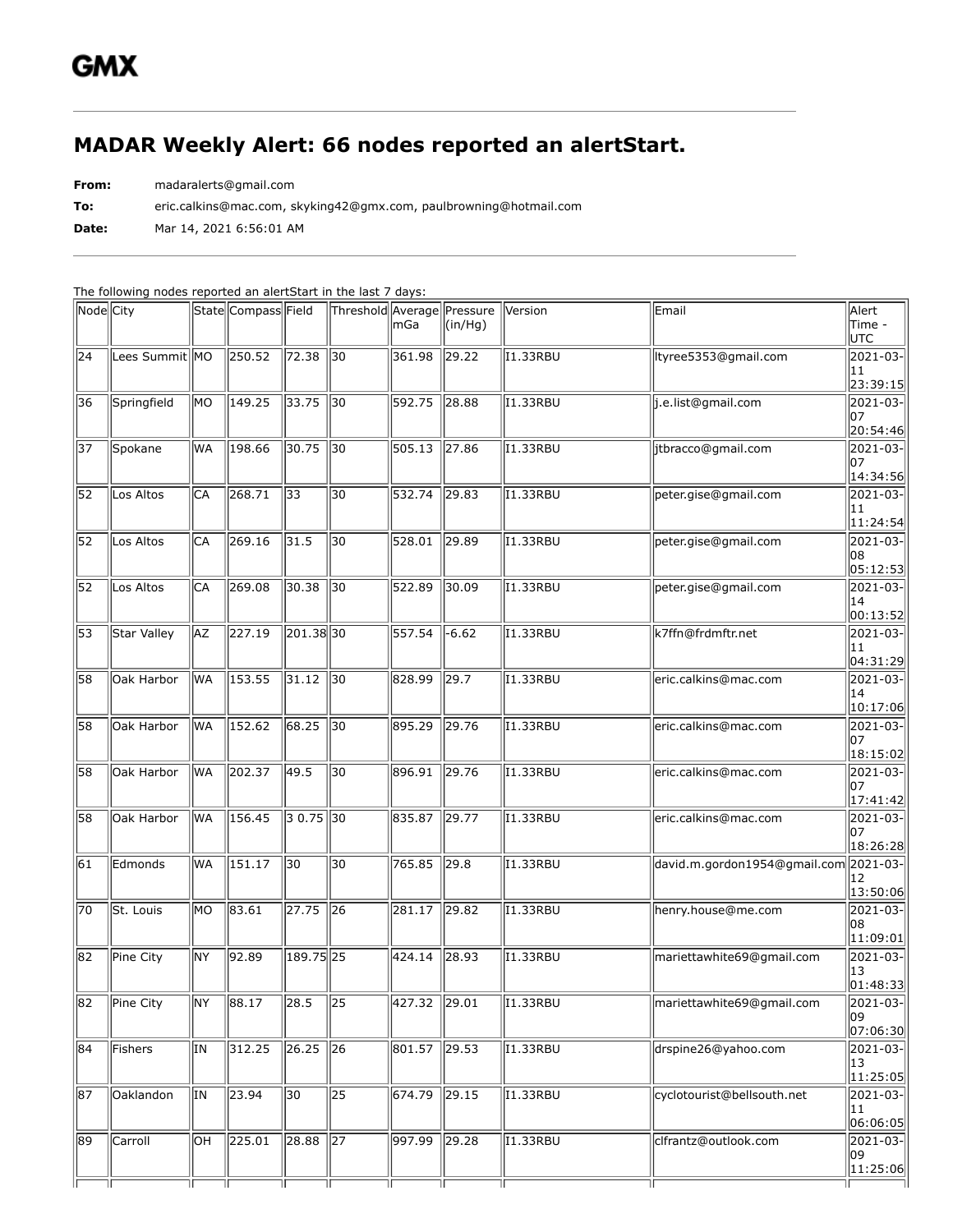## **MADAR Weekly Alert: 66 nodes reported an alertStart.**

**From:** madaralerts@gmail.com

**To:** eric.calkins@mac.com, skyking42@gmx.com, paulbrowning@hotmail.com

**Date:** Mar 14, 2021 6:56:01 AM

The following nodes reported an alertStart in the last 7 days:

| Node City       |                 |           | State Compass Field |                 | Threshold Average Pressure | mGa            | $(\text{in}/\text{Hq})$ | Version         | Email                        | Alert<br>Time -<br>UTC                      |
|-----------------|-----------------|-----------|---------------------|-----------------|----------------------------|----------------|-------------------------|-----------------|------------------------------|---------------------------------------------|
| 24              | Lees Summit  MO |           | 250.52              | 72.38           | 30                         | 361.98         | 29.22                   | I1.33RBU        | tyree5353@gmail.com          | 2021-03-<br>11<br>23:39:15                  |
| 36              | Springfield     | MO        | 149.25              | 33.75           | $\overline{30}$            | 592.75         | 728.88                  | <b>I1.33RBU</b> | j.e.list@gmail.com           | $ 2021 - 03 -$<br>07<br>20:54:46            |
| 37              | Spokane         | lwa       | 198.66              | 30.75           | 30                         | 505.13         | 727.86                  | <b>I1.33RBU</b> | jtbracco@gmail.com           | $2021 - 03$<br>107<br>14:34:56              |
| 52              | Los Altos       | CA        | 268.71              | 33              | 30                         | 532.74 29.83   |                         | <b>I1.33RBU</b> | peter.gise@gmail.com         | $2021 - 03$<br>11<br>11:24:54               |
| $\overline{52}$ | Los Altos       | lСA       | 269.16              | 31.5            | 30                         | 528.01         | 729.89                  | <b>I1.33RBU</b> | peter.gise@gmail.com         | $\overline{ 2021-03- }$<br>108<br> 05:12:53 |
| 52              | Los Altos       | CA        | 269.08              | 30.38           | 30                         | 522.89         | 30.09                   | I1.33RBU        | peter.gise@gmail.com         | $ 2021 - 03 -$<br>14<br> 00:13:52           |
| 53              | Star Valley     | AZ        | 227.19              | 201.38 30       |                            | 557.54         | $-6.62$                 | <b>I1.33RBU</b> | k7ffn@frdmftr.net            | $2021 - 03$<br>11<br> 04:31:29              |
| 58              | Oak Harbor      | WA        | 153.55              | 31.12           | 30                         | 828.99         | 29.7                    | I1.33RBU        | eric.calkins@mac.com         | $2021 - 03$<br>14<br> 10:17:06              |
| 58              | Oak Harbor      | WA        | 152.62              | 68.25           | $\sqrt{30}$                | 895.29         | 29.76                   | <b>I1.33RBU</b> | eric.calkins@mac.com         | $ 2021 - 03 -$<br>107<br>18:15:02           |
| 58              | Oak Harbor      | WA        | 202.37              | 49.5            | 30                         | 896.91         | 29.76                   | <b>I1.33RBU</b> | eric.calkins@mac.com         | $\overline{ 2021-03- }$<br>107<br>17:41:42  |
| 58              | Oak Harbor      | WA        | 156.45              | $30.75$ 30      |                            | 835.87         | 29.77                   | <b>I1.33RBU</b> | eric.calkins@mac.com         | $\overline{ 2021-03- }$<br>107<br>18:26:28  |
| 61              | Edmonds         | <b>WA</b> | 151.17              | $\overline{30}$ | 30                         | 765.85         | 29.8                    | I1.33RBU        | david.m.gordon1954@gmail.com | 2021-03-<br>12<br>13:50:06                  |
| 70              | St. Louis       | MО        | 83.61               | 27.75           | $\sqrt{26}$                | 281.17         | 29.82                   | <b>I1.33RBU</b> | henry.house@me.com           | $ 2021 - 03 -$<br>108<br> 11:09:01          |
| 82              | Pine City       | NY        | 92.89               | 189.75 25       |                            | 424.14         | 28.93                   | <b>I1.33RBU</b> | mariettawhite69@gmail.com    | 2021-03-<br>13<br> 01:48:33                 |
| 182             | Pine City       | NY        | 88.17               | 28.5            | 25                         | 427.32   29.01 |                         | I1.33RBU        | mariettawhite69@gmail.com    | 2021-03-  <br>109<br> 07:06:30              |
| 84              | Fishers         | lτn       | 312.25              | 26.25           | $\sqrt{26}$                | 801.57 29.53   |                         | I1.33RBU        | drspine26@yahoo.com          | 2021-03-<br>13<br>11:25:05                  |
| 87              | Oaklandon       | lΙN       | 23.94               | 30              | 25                         | 674.79         | 29.15                   | I1.33RBU        | cyclotourist@bellsouth.net   | 2021-03-<br>11<br> 06:06:05                 |
| 89              | Carroll         | lОH       | 225.01              | 28.88           | $\parallel$ 27             | 997.99         | $\ 29.28$               | I1.33RBU        | clfrantz@outlook.com         | 2021-03-<br>09<br> 11:25:06                 |
|                 |                 |           |                     |                 |                            |                |                         |                 |                              |                                             |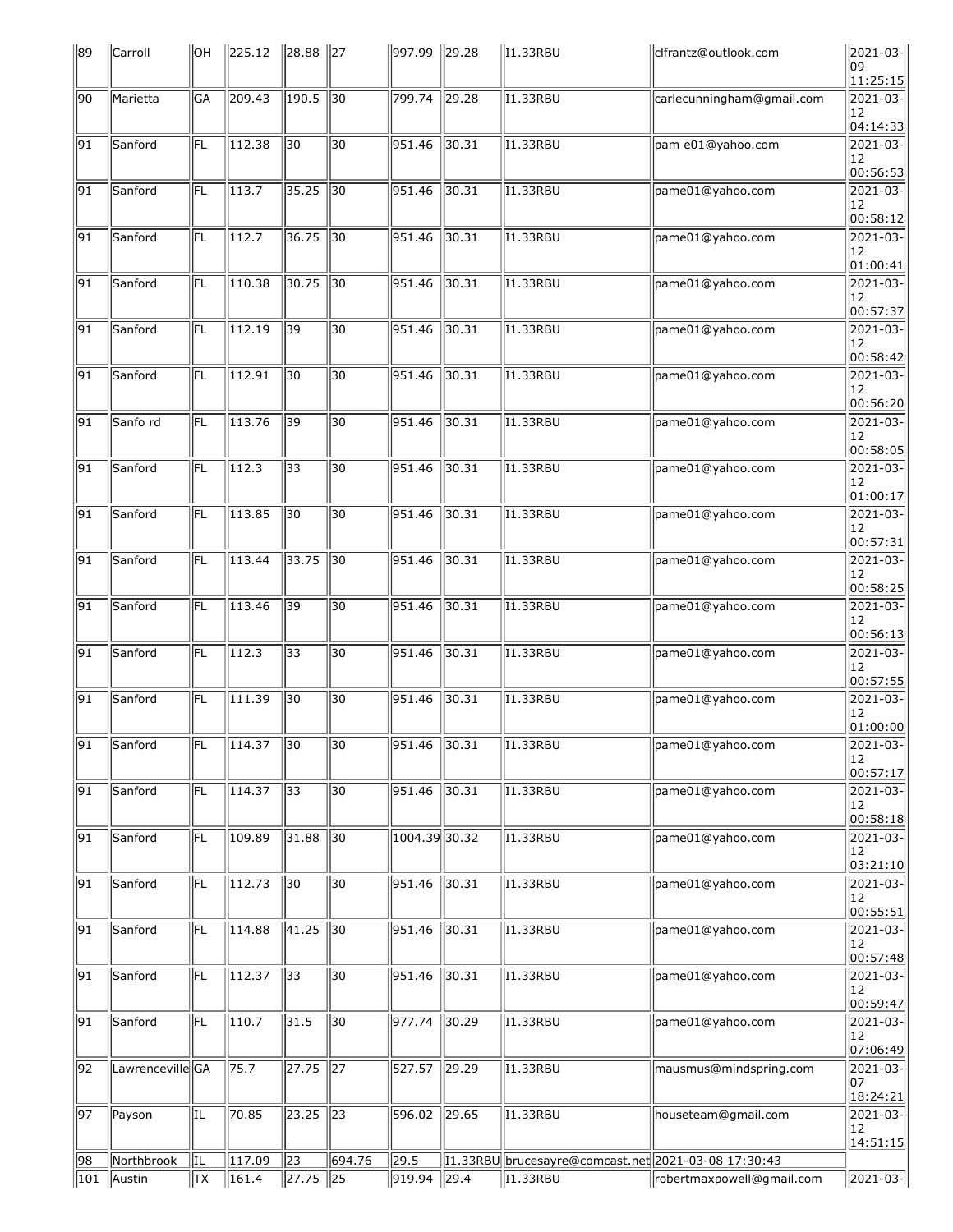| 89              | Carroll                     | ЮH        | $\ 225.12\ $        | $\ 28.88\ $     | $\parallel$ 27 | 997.99 29.28   |       | $\parallel$ I1.33RBU                                 | clfrantz@outlook.com      | 2021-03-<br>109       |
|-----------------|-----------------------------|-----------|---------------------|-----------------|----------------|----------------|-------|------------------------------------------------------|---------------------------|-----------------------|
|                 |                             |           |                     |                 |                |                |       |                                                      |                           | 11:25:15              |
| 90              | Marietta                    | <b>GA</b> | 209.43              | 190.5           | $\sqrt{30}$    | 799.74 29.28   |       | <b>I1.33RBU</b>                                      | carlecunningham@gmail.com | 2021-03-<br>12        |
| $\overline{91}$ | Sanford                     | FL        | 112.38              | 30              | 30             | 951.46         | 30.31 | <b>I1.33RBU</b>                                      | pam e01@yahoo.com         | 04:14:33<br>2021-03-  |
|                 |                             |           |                     |                 |                |                |       |                                                      |                           | 12<br> 00:56:53       |
| 91              | Sanford                     | FL        | 113.7               | 35.25           | 30             | 951.46         | 30.31 | <b>I1.33RBU</b>                                      | pame01@yahoo.com          | 2021-03-              |
|                 |                             |           |                     |                 |                |                |       |                                                      |                           | 12<br> 00:58:12       |
| $\overline{91}$ | Sanford                     | FL        | 112.7               | 36.75           | 30             | 951.46         | 30.31 | <b>I1.33RBU</b>                                      | pame01@yahoo.com          | 2021-03-              |
|                 |                             |           |                     |                 |                |                |       |                                                      |                           | 12<br>01:00:41        |
| 91              | Sanford                     | FL        | 110.38              | 30.75           | 30             | 951.46         | 30.31 | <b>I1.33RBU</b>                                      | pame01@yahoo.com          | 2021-03-              |
|                 |                             |           |                     |                 |                |                |       |                                                      |                           | 12<br>00:57:37        |
| $\overline{91}$ | Sanford                     | FL        | $\overline{112.19}$ | 39              | 30             | 951.46         | 30.31 | <b>I1.33RBU</b>                                      | pame01@yahoo.com          | 2021-03-              |
|                 |                             |           |                     |                 |                |                |       |                                                      |                           | 12<br>00:58:42        |
| 91              | Sanford                     | FL        | 112.91              | 30              | 30             | 951.46         | 30.31 | I1.33RBU                                             | pame01@yahoo.com          | 2021-03-              |
|                 |                             |           |                     |                 |                |                |       |                                                      |                           | 12                    |
| 91              | Sanfo rd                    | FL        | 113.76              | 39              | 30             | 951.46         | 30.31 | <b>I1.33RBU</b>                                      | pame01@yahoo.com          | 00:56:20<br>2021-03-  |
|                 |                             |           |                     |                 |                |                |       |                                                      |                           | 12                    |
| $\sqrt{91}$     | Sanford                     | FL        | 112.3               | $\overline{33}$ | 30             | 951.46         | 30.31 | <b>I1.33RBU</b>                                      | pame01@yahoo.com          | 00:58:05 <br>2021-03- |
|                 |                             |           |                     |                 |                |                |       |                                                      |                           | 12                    |
|                 |                             |           |                     |                 |                |                |       |                                                      |                           | 01:00:17              |
| 91              | Sanford                     | FL.       | 113.85              | 30              | 30             | 951.46         | 30.31 | I1.33RBU                                             | pame01@yahoo.com          | 2021-03-<br>12        |
|                 |                             |           |                     |                 |                |                |       |                                                      |                           | 00:57:31              |
| $\sqrt{91}$     | Sanford                     | lFL       | 113.44              | 33.75           | $\sqrt{30}$    | 951.46         | 30.31 | <b>I1.33RBU</b>                                      | pame01@yahoo.com          | 2021-03-<br>12        |
|                 |                             |           |                     |                 |                |                |       |                                                      |                           | 00:58:25              |
| 91              | Sanford                     | FL        | 113.46              | 39              | 30             | 951.46         | 30.31 | I1.33RBU                                             | pame01@yahoo.com          | 2021-03-              |
|                 |                             |           |                     |                 |                |                |       |                                                      |                           | 12<br> 00:56:13       |
| 91              | Sanford                     | FL        | 112.3               | 33              | 30             | 951.46         | 30.31 | I1.33RBU                                             | pame01@yahoo.com          | 2021-03-              |
|                 |                             |           |                     |                 |                |                |       |                                                      |                           | 12<br>00:57:55        |
| $\overline{91}$ | Sanford                     | FL        | 111.39              | 30              | 30             | 951.46         | 30.31 | <b>I1.33RBU</b>                                      | pame01@yahoo.com          | 2021-03-              |
|                 |                             |           |                     |                 |                |                |       |                                                      |                           | 12<br>01:00:00        |
| $\overline{91}$ | Sanford                     | FL        | 114.37              | $\overline{30}$ | 30             | $951.46$ 30.31 |       | 11.33RBU                                             | pame01@yahoo.com          | 2021-03-              |
|                 |                             |           |                     |                 |                |                |       |                                                      |                           | 12<br>00:57:17        |
| $\sqrt{91}$     | Sanford                     | IFL.      | 114.37              | $\overline{33}$ | 30             | 951.46         | 30.31 | <b>I1.33RBU</b>                                      | pame01@yahoo.com          | 2021-03-              |
|                 |                             |           |                     |                 |                |                |       |                                                      |                           | 12<br> 00:58:18       |
| $\overline{91}$ | Sanford                     | FL.       | 109.89              | 31.88           | 30             | 1004.39 30.32  |       | I1.33RBU                                             | pame01@yahoo.com          | 2021-03-              |
|                 |                             |           |                     |                 |                |                |       |                                                      |                           | 12                    |
| $\overline{91}$ | Sanford                     | FL.       | 112.73              | 30              | 30             | 951.46         | 30.31 | <b>I1.33RBU</b>                                      | pame01@yahoo.com          | 03:21:10<br>2021-03-  |
|                 |                             |           |                     |                 |                |                |       |                                                      |                           | 12                    |
|                 |                             |           |                     |                 |                |                |       |                                                      |                           | 00:55:51              |
| 91              | Sanford                     | FL.       | 114.88              | 41.25           | 30             | 951.46         | 30.31 | I1.33RBU                                             | pame01@yahoo.com          | 2021-03-<br>12        |
|                 |                             |           |                     |                 |                |                |       |                                                      |                           | 00:57:48              |
| 91              | Sanford                     | FL        | 112.37              | $\overline{33}$ | 30             | 951.46 30.31   |       | I1.33RBU                                             | pame01@yahoo.com          | 2021-03-<br>12        |
|                 |                             |           |                     |                 |                |                |       |                                                      |                           | 00:59:47              |
| $\sqrt{91}$     | Sanford                     | FL        | 110.7               | 31.5            | $\sqrt{30}$    | 977.74 30.29   |       | <b>I1.33RBU</b>                                      | pame01@yahoo.com          | 2021-03-<br>12        |
|                 |                             |           |                     |                 |                |                |       |                                                      |                           | 07:06:49              |
| 92              | Lawrenceville <sup>GA</sup> |           | 75.7                | 27.75           | $\sqrt{27}$    | 527.57 29.29   |       | <b>I1.33RBU</b>                                      | mausmus@mindspring.com    | $\overline{2021-03}$  |
|                 |                             |           |                     |                 |                |                |       |                                                      |                           | 107<br>18:24:21       |
| $\overline{97}$ | Payson                      | IL        | 70.85               | 23.25           | $\sqrt{23}$    | 596.02 29.65   |       | <b>I1.33RBU</b>                                      | houseteam@gmail.com       | 2021-03-              |
|                 |                             |           |                     |                 |                |                |       |                                                      |                           | 12<br>14:51:15        |
| 98              | Northbrook                  | IL        | 117.09              | 23              | 694.76         | 29.5           |       | [1.33RBU  brucesayre@comcast.net 2021-03-08 17:30:43 |                           |                       |
| $\parallel$ 101 | Austin                      | <b>TX</b> | $\ 161.4\ $         | 27.75 25        |                | $919.94$ 29.4  |       | $\vert$ I1.33RBU                                     | robertmaxpowell@gmail.com | 2021-03-              |